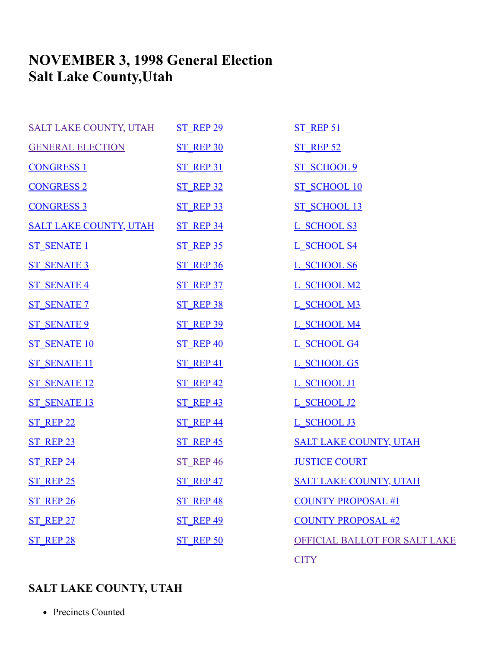# **NOVEMBER 3, 1998 General Election Salt Lake County,Utah**

| <b>SALT LAKE COUNTY, UTAH</b> | <b>ST REP 29</b> | <b>ST REP 51</b>              |
|-------------------------------|------------------|-------------------------------|
| <b>GENERAL ELECTION</b>       | ST REP 30        | <b>ST REP 52</b>              |
| <b>CONGRESS 1</b>             | <b>ST REP 31</b> | <b>ST SCHOOL 9</b>            |
| <b>CONGRESS 2</b>             | <b>ST REP 32</b> | <b>ST SCHOOL 10</b>           |
| <b>CONGRESS 3</b>             | <b>ST REP 33</b> | <b>ST SCHOOL 13</b>           |
| <b>SALT LAKE COUNTY, UTAH</b> | <b>ST REP 34</b> | L SCHOOL S3                   |
| <b>ST SENATE 1</b>            | <b>ST REP 35</b> | L SCHOOL S4                   |
| <b>ST SENATE 3</b>            | <b>ST REP 36</b> | L SCHOOL S6                   |
| <b>ST SENATE 4</b>            | <b>ST REP 37</b> | L SCHOOL M2                   |
| <b>ST SENATE 7</b>            | <b>ST REP 38</b> | L SCHOOL M3                   |
| <b>ST SENATE 9</b>            | <b>ST REP 39</b> | L SCHOOL M4                   |
| <b>ST SENATE 10</b>           | <b>ST REP 40</b> | L SCHOOL G4                   |
| <b>ST SENATE 11</b>           | <b>ST REP 41</b> | L SCHOOL G5                   |
| <b>ST SENATE 12</b>           | <b>ST REP 42</b> | L SCHOOL J1                   |
| <b>ST SENATE 13</b>           | <b>ST REP 43</b> | L SCHOOL J2                   |
| <b>ST REP 22</b>              | <b>ST REP 44</b> | L SCHOOL J3                   |
| <b>ST REP 23</b>              | <b>ST REP 45</b> | <b>SALT LAKE COUNTY, UTAH</b> |
| <b>ST REP 24</b>              | <b>ST REP 46</b> | <b>JUSTICE COURT</b>          |
| <b>ST REP 25</b>              | ST REP 47        | <b>SALT LAKE COUNTY, UTAH</b> |
| ST REP 26                     | ST REP 48        | <b>COUNTY PROPOSAL #1</b>     |
| <b>ST REP 27</b>              | <b>ST REP 49</b> | <b>COUNTY PROPOSAL #2</b>     |
| ST REP 28                     | ST REP 50        | OFFICIAL BALLOT FOR SALT LAKE |
|                               |                  | <b>CITY</b>                   |

# <span id="page-0-0"></span>**SALT LAKE COUNTY, UTAH**

• Precincts Counted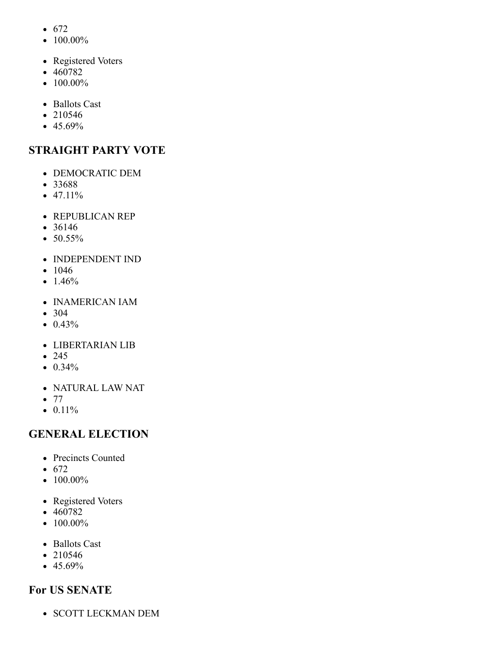- $672$
- $\bullet$  100.00%
- Registered Voters
- 460782
- $\bullet$  100.00%
- Ballots Cast
- 210546
- $-45.69%$

# **STRAIGHT PARTY VOTE**

- DEMOCRATIC DEM
- 33688
- $47.11\%$
- REPUBLICAN REP
- 36146
- $50.55\%$
- INDEPENDENT IND
- $1046$
- $1.46%$
- INAMERICAN IAM
- 304
- $\bullet$  0.43%
- LIBERTARIAN LIB
- $245$
- $\bullet$  0.34%
- NATURAL LAW NAT
- $\bullet$  77
- $\bullet$  0.11%

# <span id="page-1-0"></span>**GENERAL ELECTION**

- Precincts Counted
- $672$
- $100.00\%$
- Registered Voters
- 460782
- $\bullet$  100.00%
- Ballots Cast
- 210546
- $45.69%$

# **For US SENATE**

• SCOTT LECKMAN DEM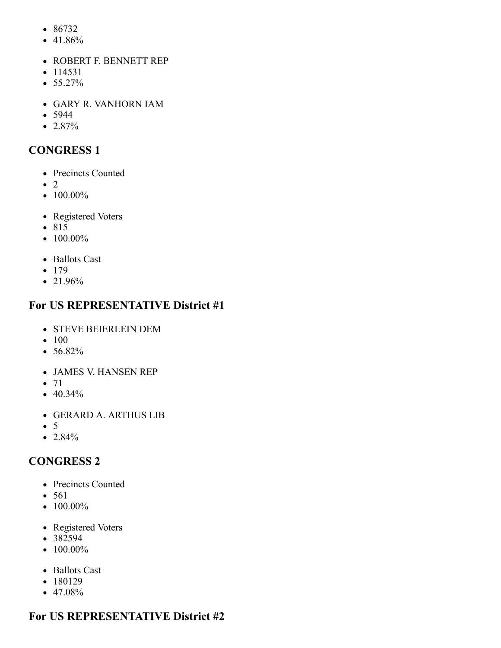- 86732
- 41.86%
- ROBERT F. BENNETT REP
- $114531$
- $55.27\%$
- GARY R. VANHORN IAM
- $5944$
- 2.87%

# <span id="page-2-0"></span>**CONGRESS 1**

- Precincts Counted
- $\bullet$  2
- $\bullet$  100.00%
- Registered Voters
- 815
- $100.00\%$
- Ballots Cast
- $179$
- 21.96%

# **For US REPRESENTATIVE District #1**

- STEVE BEIERLEIN DEM
- $100$
- 56.82%
- JAMES V. HANSEN REP
- $71$
- 40.34%
- GERARD A. ARTHUS LIB
- $\bullet$  5
- $2.84%$

# <span id="page-2-1"></span>**CONGRESS 2**

- Precincts Counted
- 561
- $\bullet$  100.00%
- Registered Voters
- 382594
- $\bullet$  100.00%
- Ballots Cast
- 180129
- $47.08%$

# **For US REPRESENTATIVE District #2**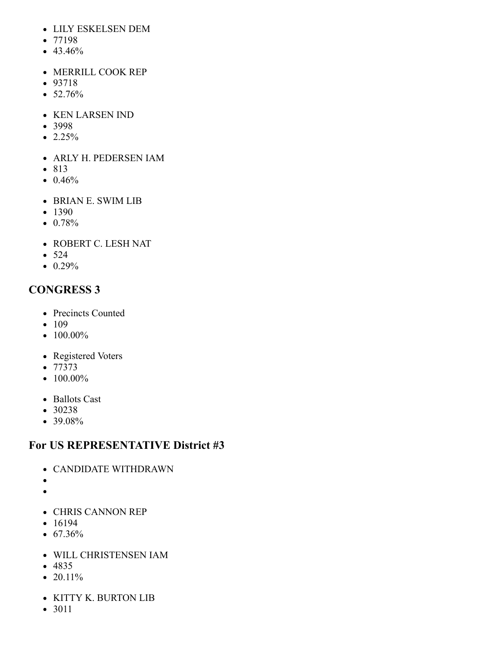- LILY ESKELSEN DEM
- $77198$
- $43.46%$
- MERRILL COOK REP
- 93718
- 52.76%
- KEN LARSEN IND
- 3998
- $\bullet$  2.25%
- ARLY H. PEDERSEN IAM
- 813
- $\bullet$  0.46%
- BRIAN E. SWIM LIB
- 1390
- $\bullet$  0.78%
- ROBERT C. LESH NAT
- $524$
- $\bullet$  0.29%

# <span id="page-3-0"></span>**CONGRESS 3**

- Precincts Counted
- $-109$
- $100.00\%$
- Registered Voters
- 77373
- $\bullet$  100.00%
- Ballots Cast
- 30238
- $\bullet$  39.08%

### **For US REPRESENTATIVE District #3**

- CANDIDATE WITHDRAWN
- $\bullet$
- $\bullet$
- CHRIS CANNON REP
- $16194$
- $\bullet$  67.36%
- WILL CHRISTENSEN IAM
- 4835
- $20.11\%$
- KITTY K. BURTON LIB
- 3011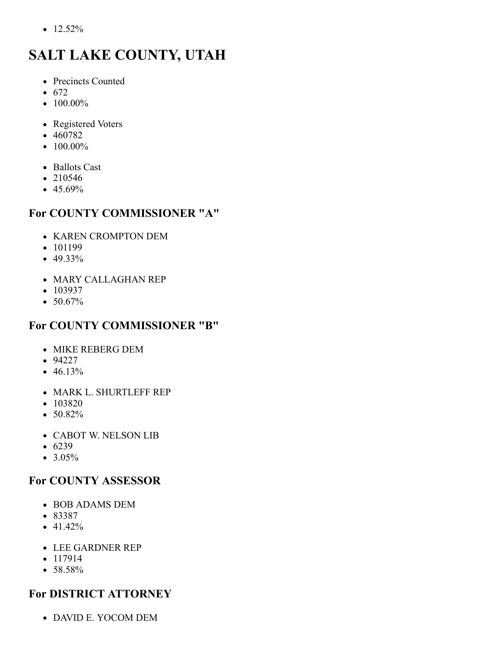$\bullet$  12.52%

# <span id="page-4-0"></span>**SALT LAKE COUNTY, UTAH**

- Precincts Counted
- $672$
- $\bullet$  100.00%
- Registered Voters
- 460782
- $\bullet$  100.00%
- Ballots Cast
- 210546
- $45.69%$

# **For COUNTY COMMISSIONER "A"**

- KAREN CROMPTON DEM
- 101199
- 49.33%
- MARY CALLAGHAN REP
- $103937$
- 50.67%

# **For COUNTY COMMISSIONER "B"**

- MIKE REBERG DEM
- 94227
- $\bullet$  46.13%
- MARK L. SHURTLEFF REP
- 103820
- 50.82%
- CABOT W. NELSON LIB
- $6239$
- $3.05\%$

# **For COUNTY ASSESSOR**

- BOB ADAMS DEM
- 83387
- $41.42%$
- LEE GARDNER REP
- $117914$
- 58.58%

# **For DISTRICT ATTORNEY**

DAVID E. YOCOM DEM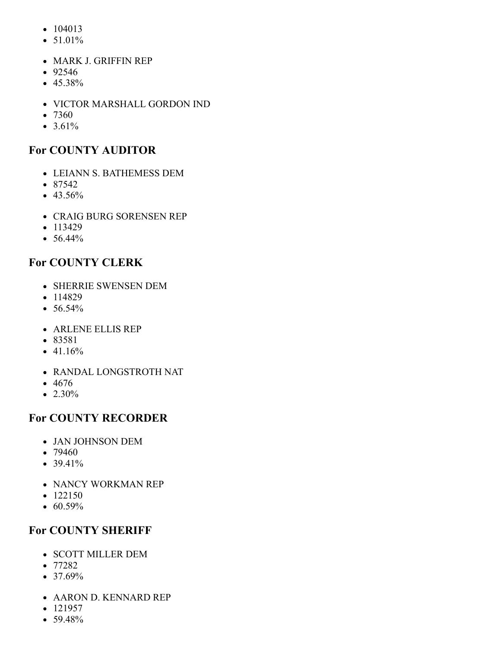- $104013$
- $51.01%$
- MARK J. GRIFFIN REP
- 92546
- $45.38%$
- VICTOR MARSHALL GORDON IND
- $7360$
- $3.61%$

### **For COUNTY AUDITOR**

- LEIANN S. BATHEMESS DEM
- 87542
- $43.56%$
- CRAIG BURG SORENSEN REP
- $113429$
- 56.44%

### **For COUNTY CLERK**

- SHERRIE SWENSEN DEM
- $114829$
- $56.54%$
- ARLENE ELLIS REP
- 83581
- $-41.16%$
- RANDAL LONGSTROTH NAT
- 4676
- $\bullet$  2.30%

### **For COUNTY RECORDER**

- JAN JOHNSON DEM
- 79460
- 39.41%
- NANCY WORKMAN REP
- $122150$
- $\bullet$  60.59%

### **For COUNTY SHERIFF**

- SCOTT MILLER DEM
- 77282
- $37.69%$
- AARON D. KENNARD REP
- $-121957$
- $59.48%$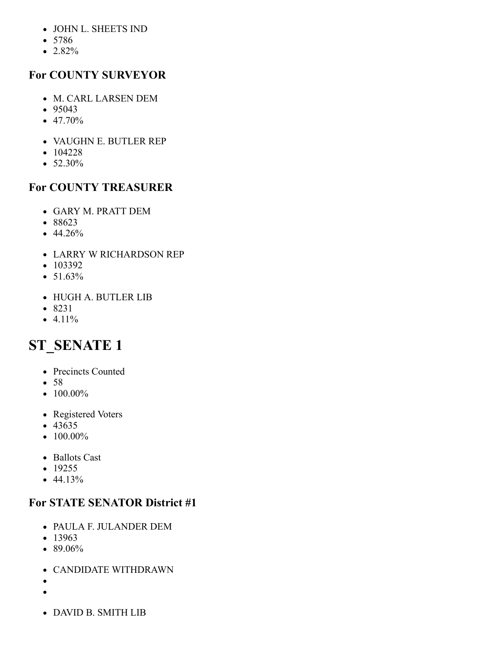- JOHN L. SHEETS IND
- 5786
- 2.82%

### **For COUNTY SURVEYOR**

- M. CARL LARSEN DEM
- $95043$
- $\bullet$  47.70%
- VAUGHN E. BUTLER REP
- $104228$
- $52.30\%$

# **For COUNTY TREASURER**

- GARY M. PRATT DEM
- 88623
- $\bullet$  44.26%
- LARRY W RICHARDSON REP
- $103392$
- $51.63\%$
- HUGH A. BUTLER LIB
- 8231
- $-4.11%$

# <span id="page-6-0"></span>**ST\_SENATE 1**

- Precincts Counted
- $58$
- $100.00\%$
- Registered Voters
- $-43635$
- $\bullet$  100.00%
- Ballots Cast
- $19255$
- $44.13%$

- PAULA F. JULANDER DEM
- $13963$
- $\bullet$  89.06%
- CANDIDATE WITHDRAWN
- 
- $\bullet$
- DAVID B. SMITH LIB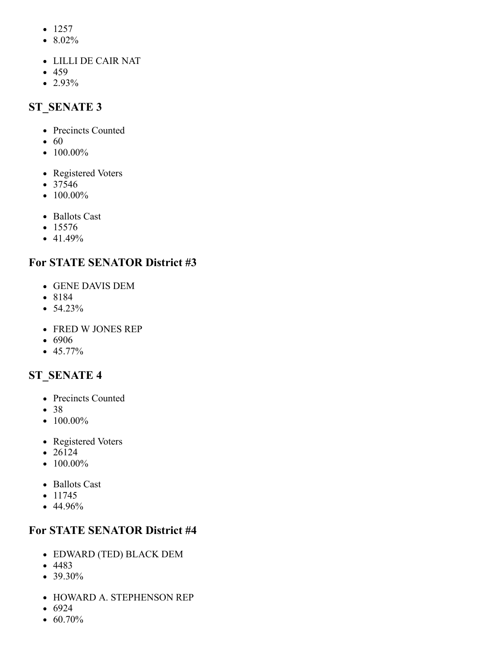- $1257$
- 8.02%
- LILLI DE CAIR NAT
- 459
- <span id="page-7-0"></span> $\bullet$  2.93%

- Precincts Counted
- $\bullet$  60
- $\bullet$  100.00%
- Registered Voters
- 37546
- $\bullet$  100.00%
- Ballots Cast
- $15576$
- $-41.49%$

### **For STATE SENATOR District #3**

- GENE DAVIS DEM
- 8184
- $54.23%$
- FRED W JONES REP
- 6906
- $-45.77\%$

# <span id="page-7-1"></span>**ST\_SENATE 4**

- Precincts Counted
- 38
- $\bullet$  100.00%
- Registered Voters
- 26124
- $\bullet$  100.00%
- Ballots Cast
- $11745$
- 44.96%

- EDWARD (TED) BLACK DEM
- 4483
- 39.30%
- HOWARD A. STEPHENSON REP
- $6924$
- $\bullet$  60.70%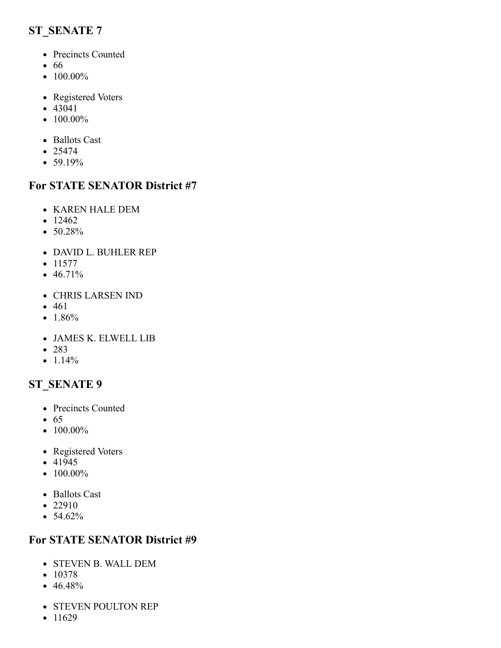- <span id="page-8-0"></span>• Precincts Counted
- 66
- $\bullet$  100.00%
- Registered Voters
- 43041
- $100.00\%$
- Ballots Cast
- $25474$
- 59.19%

#### **For STATE SENATOR District #7**

- KAREN HALE DEM
- $12462$
- $\bullet$  50.28%
- DAVID L. BUHLER REP
- $11577$
- $46.71\%$
- CHRIS LARSEN IND
- 461
- $1.86%$
- JAMES K. ELWELL LIB
- 283
- $-1.14%$

### <span id="page-8-1"></span>**ST\_SENATE 9**

- Precincts Counted
- $65$
- $100.00\%$
- Registered Voters
- $-41945$
- $\bullet$  100.00%
- Ballots Cast
- 22910
- $54.62\%$

- STEVEN B. WALL DEM
- $10378$
- $46.48%$
- STEVEN POULTON REP
- $11629$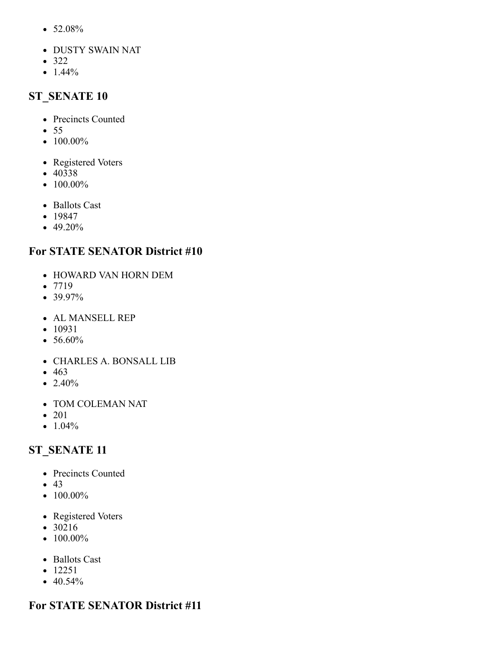- 52.08%
- DUSTY SWAIN NAT
- 322
- <span id="page-9-0"></span> $\bullet$  1.44%

- Precincts Counted
- 55
- $\bullet$  100.00%
- Registered Voters
- 40338
- $100.00\%$
- Ballots Cast
- 19847
- 49.20%

#### **For STATE SENATOR District #10**

- HOWARD VAN HORN DEM
- 7719
- 39.97%
- AL MANSELL REP
- $-10931$
- 56.60%
- CHARLES A. BONSALL LIB
- 463
- $\bullet$  2.40%
- TOM COLEMAN NAT
- 201
- $\bullet$  1.04%

#### <span id="page-9-1"></span>**ST\_SENATE 11**

- Precincts Counted
- $43$
- $\bullet$  100.00%
- Registered Voters
- 30216
- $100.00\%$
- Ballots Cast
- 12251
- $40.54%$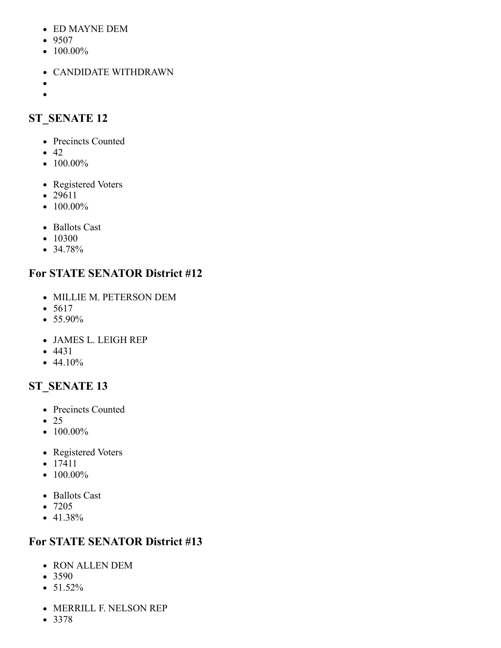- ED MAYNE DEM
- 9507
- $\bullet$  100.00%
- CANDIDATE WITHDRAWN
- $\bullet$  $\bullet$

- <span id="page-10-0"></span>• Precincts Counted
- $\bullet$  42
- $\bullet$  100.00%
- Registered Voters
- 29611
- $\bullet$  100.00%
- Ballots Cast
- 10300
- 34.78%

# **For STATE SENATOR District #12**

- MILLIE M. PETERSON DEM
- $5617$
- $55.90\%$
- JAMES L. LEIGH REP
- 4431
- $-44.10%$

# <span id="page-10-1"></span>**ST\_SENATE 13**

- Precincts Counted
- $\bullet$  25
- $\bullet$  100.00%
- Registered Voters
- 17411
- $\bullet$  100.00%
- Ballots Cast
- 7205
- 41.38%

- RON ALLEN DEM
- 3590
- $\bullet$  51.52%
- MERRILL F. NELSON REP
- $3378$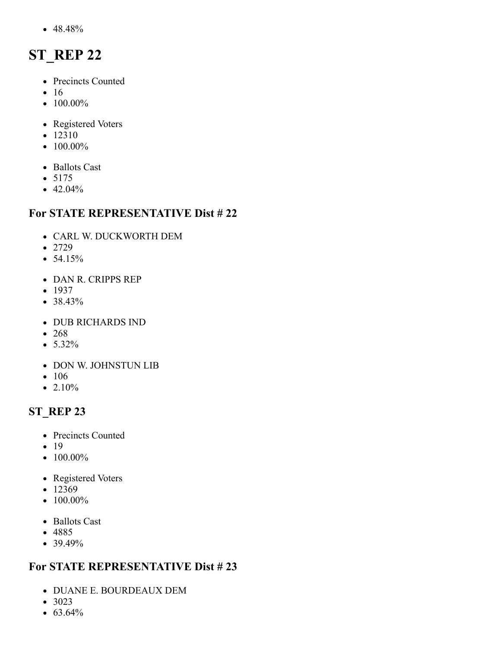48.48%

# <span id="page-11-0"></span>**ST\_REP 22**

- Precincts Counted
- $16$
- $\bullet$  100.00%
- Registered Voters
- 12310
- $\bullet$  100.00%
- Ballots Cast
- $5175$
- $-42.04%$

#### **For STATE REPRESENTATIVE Dist # 22**

- CARL W. DUCKWORTH DEM
- 2729
- $54.15%$
- DAN R. CRIPPS REP
- $1937$
- 38.43%
- DUB RICHARDS IND
- 268
- $\bullet$  5.32%
- DON W. JOHNSTUN LIB
- 106
- $2.10%$

# <span id="page-11-1"></span>**ST\_REP 23**

- Precincts Counted
- $19$
- $100.00\%$
- Registered Voters
- $12369$
- $\bullet$  100.00%
- Ballots Cast
- 4885
- $39.49%$

- DUANE E. BOURDEAUX DEM
- 3023
- $63.64%$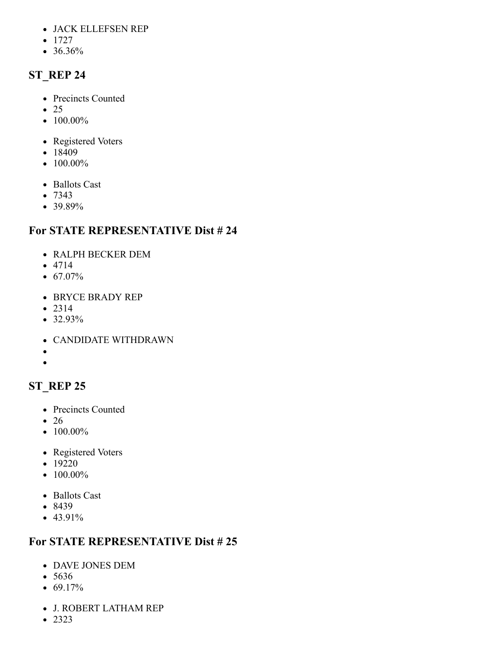- JACK ELLEFSEN REP
- $1727$
- <span id="page-12-0"></span>36.36%

- Precincts Counted
- $\bullet$  25
- $\bullet$  100.00%
- Registered Voters
- $18409$
- $\bullet$  100.00%
- Ballots Cast
- 7343
- 39.89%

# **For STATE REPRESENTATIVE Dist # 24**

- RALPH BECKER DEM
- 4714
- $67.07\%$
- BRYCE BRADY REP
- $2314$
- 32.93%
- CANDIDATE WITHDRAWN
- $\bullet$
- $\bullet$

# <span id="page-12-1"></span>**ST\_REP 25**

- Precincts Counted
- 26
- $\bullet$  100.00%
- Registered Voters
- 19220
- $\bullet$  100.00%
- Ballots Cast
- 8439
- $-43.91%$

- DAVE JONES DEM
- 5636
- $\bullet$  69.17%
- J. ROBERT LATHAM REP
- 2323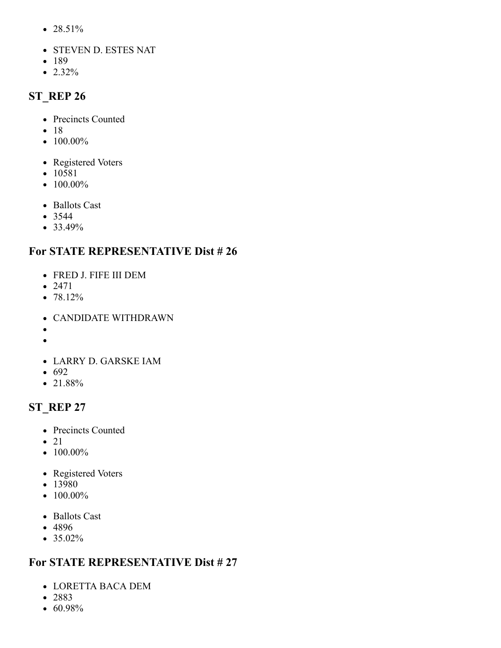- 28.51%
- STEVEN D. ESTES NAT
- 189
- <span id="page-13-0"></span> $\bullet$  2.32%

- Precincts Counted
- $18$
- $\bullet$  100.00%
- Registered Voters
- 10581
- $100.00\%$
- Ballots Cast
- 3544
- 33.49%

### **For STATE REPRESENTATIVE Dist # 26**

- FRED J. FIFE III DEM
- 2471
- 78.12%
- CANDIDATE WITHDRAWN
- $\bullet$  $\bullet$
- 
- LARRY D. GARSKE IAM
- $692$
- 21.88%

# <span id="page-13-1"></span>**ST\_REP 27**

- Precincts Counted
- $\bullet$  21
- $\bullet$  100.00%
- Registered Voters
- 13980
- $\bullet$  100.00%
- Ballots Cast
- 4896
- $35.02\%$

- LORETTA BACA DEM
- 2883
- 60.98%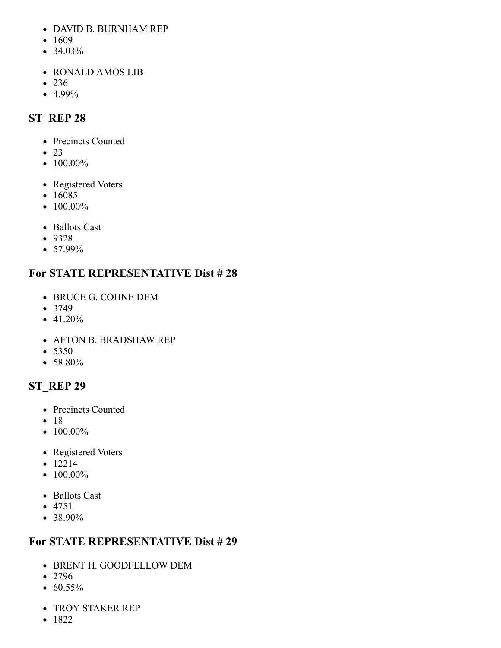- DAVID B. BURNHAM REP
- $1609$
- 34.03%
- RONALD AMOS LIB
- 236
- <span id="page-14-0"></span>4.99%

- Precincts Counted
- $\bullet$  23
- $\bullet$  100.00%
- Registered Voters
- 16085
- $\bullet$  100.00%
- Ballots Cast
- 9328
- 57.99%

# **For STATE REPRESENTATIVE Dist # 28**

- BRUCE G. COHNE DEM
- $3749$
- 41.20%
- AFTON B. BRADSHAW REP
- 5350
- 58.80%

# <span id="page-14-1"></span>**ST\_REP 29**

- Precincts Counted
- $18$
- $\bullet$  100.00%
- Registered Voters
- 12214
- $\bullet$  100.00%
- Ballots Cast
- 4751
- 38.90%

- BRENT H. GOODFELLOW DEM
- 2796
- $\bullet$  60.55%
- TROY STAKER REP
- $1822$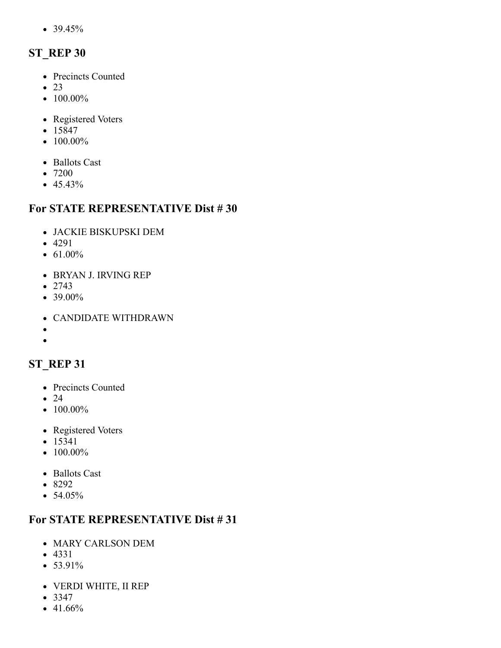39.45%

# <span id="page-15-0"></span>**ST\_REP 30**

- Precincts Counted
- $\bullet$  23
- $\bullet$  100.00%
- Registered Voters
- 15847
- $\bullet$  100.00%
- Ballots Cast
- 7200
- $-45.43%$

#### **For STATE REPRESENTATIVE Dist # 30**

- JACKIE BISKUPSKI DEM
- 4291
- $61.00\%$
- BRYAN J. IRVING REP
- $2743$
- 39.00%
- CANDIDATE WITHDRAWN
- $\bullet$

#### $\bullet$

### <span id="page-15-1"></span>**ST\_REP 31**

- Precincts Counted
- $\bullet$  24
- $\bullet$  100.00%
- Registered Voters
- 15341
- $\bullet$  100.00%
- Ballots Cast
- 8292
- 54.05%

- MARY CARLSON DEM
- 4331
- $53.91%$
- VERDI WHITE, II REP
- $3347$
- $-41.66%$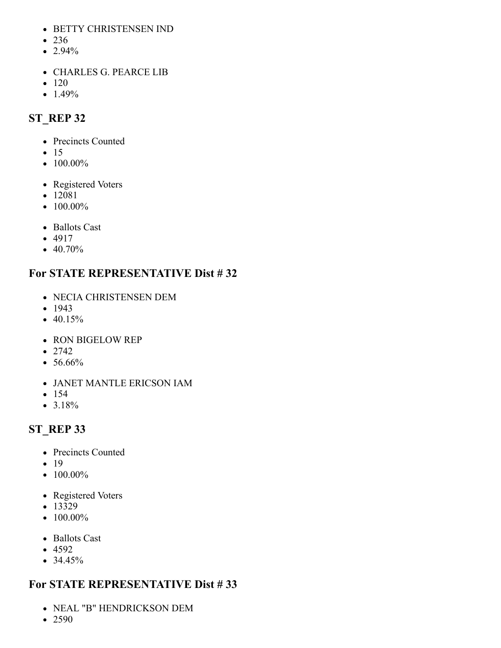- BETTY CHRISTENSEN IND
- 236
- $\bullet$  2.94%
- CHARLES G. PEARCE LIB
- $120$
- <span id="page-16-0"></span> $-1.49%$

- Precincts Counted
- $\bullet$  15
- $\bullet$  100.00%
- Registered Voters
- 12081
- $100.00\%$
- Ballots Cast
- 4917
- $\bullet$  40.70%

# **For STATE REPRESENTATIVE Dist # 32**

- NECIA CHRISTENSEN DEM
- $-1943$
- $40.15%$
- RON BIGELOW REP
- $2742$
- 56.66%
- JANET MANTLE ERICSON IAM
- $154$
- 3.18%

# <span id="page-16-1"></span>**ST\_REP 33**

- Precincts Counted
- $19$
- $100.00\%$
- Registered Voters
- $-13329$
- $\bullet$  100.00%
- Ballots Cast
- $-4592$
- $34.45%$

- NEAL "B" HENDRICKSON DEM
- 2590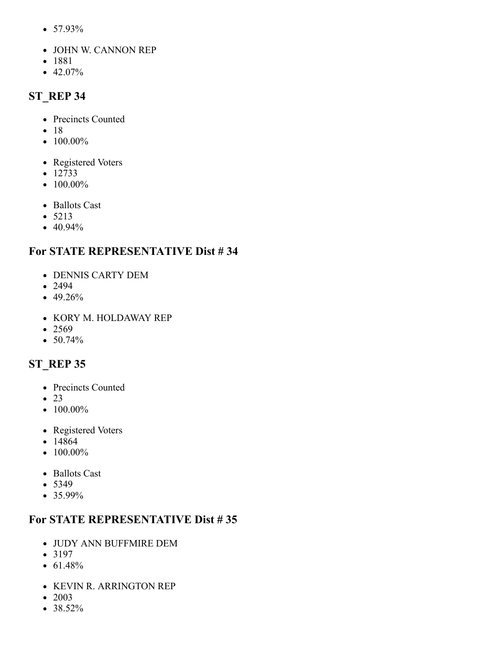- 57.93%
- JOHN W. CANNON REP
- 1881
- <span id="page-17-0"></span> $-42.07\%$

- Precincts Counted
- $18$
- $\bullet$  100.00%
- Registered Voters
- $12733$
- $100.00\%$
- Ballots Cast
- $5213$
- 40.94%

# **For STATE REPRESENTATIVE Dist # 34**

- DENNIS CARTY DEM
- 2494
- 49.26%
- KORY M. HOLDAWAY REP
- $2569$
- 50.74%

# <span id="page-17-1"></span>**ST\_REP 35**

- Precincts Counted
- $\bullet$  23
- $\bullet$  100.00%
- Registered Voters
- 14864
- $\bullet$  100.00%
- Ballots Cast
- 5349
- 35.99%

- JUDY ANN BUFFMIRE DEM
- $3197$
- $61.48%$
- KEVIN R. ARRINGTON REP
- 2003
- <span id="page-17-2"></span> $• 38.52%$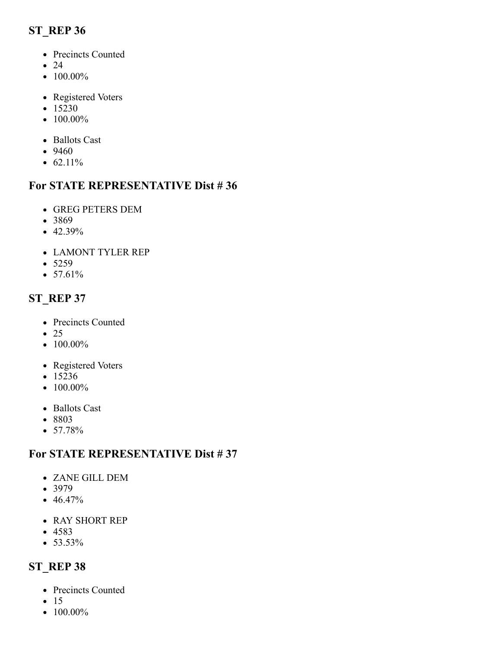- Precincts Counted
- $\bullet$  24
- $100.00\%$
- Registered Voters
- $15230$
- $\bullet$  100.00%
- Ballots Cast
- 9460
- $62.11%$

### **For STATE REPRESENTATIVE Dist # 36**

- GREG PETERS DEM
- 3869
- $\bullet$  42.39%
- LAMONT TYLER REP
- $5259$
- $57.61%$

# <span id="page-18-0"></span>**ST\_REP 37**

- Precincts Counted
- 25
- $\bullet$  100.00%
- Registered Voters
- $15236$
- $\bullet$  100.00%
- Ballots Cast
- 8803
- $57.78%$

### **For STATE REPRESENTATIVE Dist # 37**

- ZANE GILL DEM
- $3979$
- $46.47%$
- RAY SHORT REP
- 4583
- <span id="page-18-1"></span> $• 53.53\%$

- Precincts Counted
- $\bullet$  15
- $\bullet$  100.00%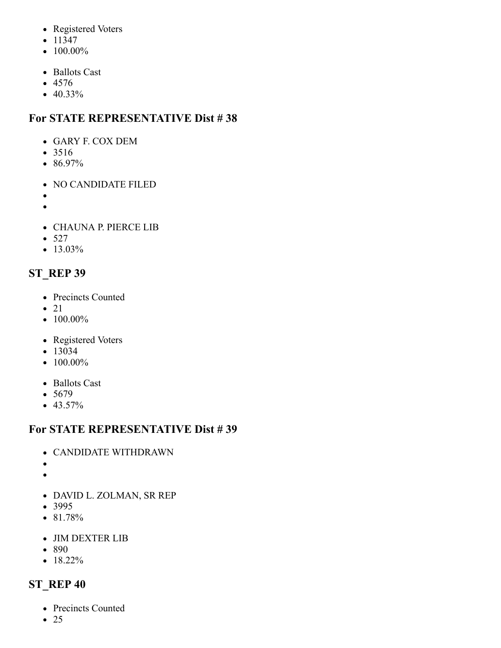- Registered Voters
- $11347$
- $\bullet$  100.00%
- Ballots Cast
- 4576
- 40.33%

- GARY F. COX DEM
- 3516
- 86.97%
- NO CANDIDATE FILED
- 
- $\bullet$
- CHAUNA P. PIERCE LIB
- $527$
- $13.03\%$

# <span id="page-19-0"></span>**ST\_REP 39**

- Precincts Counted
- $\bullet$  21
- $\bullet$  100.00%
- Registered Voters
- $-13034$
- $\bullet$  100.00%
- Ballots Cast
- $5679$
- $-43.57%$

# **For STATE REPRESENTATIVE Dist # 39**

- CANDIDATE WITHDRAWN
- $\bullet$
- $\bullet$
- DAVID L. ZOLMAN, SR REP
- 3995
- 81.78%
- JIM DEXTER LIB
- 890
- <span id="page-19-1"></span>•  $18.22\%$

- Precincts Counted
- $\bullet$  25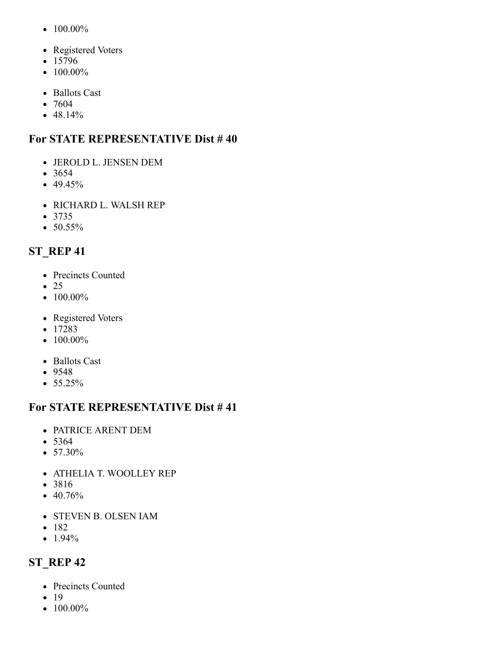- $\bullet$  100.00%
- Registered Voters
- 15796
- $\bullet$  100.00%
- Ballots Cast
- 7604
- $48.14%$

- JEROLD L. JENSEN DEM
- $3654$
- $-49.45%$
- RICHARD L. WALSH REP
- $3735$
- $\bullet$  50.55%

# <span id="page-20-0"></span>**ST\_REP 41**

- Precincts Counted
- $\bullet$  25
- $\bullet$  100.00%
- Registered Voters
- 17283
- $\bullet$  100.00%
- Ballots Cast
- 9548
- $55.25%$

#### **For STATE REPRESENTATIVE Dist # 41**

- PATRICE ARENT DEM
- 5364
- 57.30%
- ATHELIA T. WOOLLEY REP
- 3816
- $\bullet$  40.76%
- STEVEN B. OLSEN IAM
- $182$
- <span id="page-20-1"></span> $\bullet$  1.94%

- Precincts Counted
- $19$
- $\bullet$  100.00%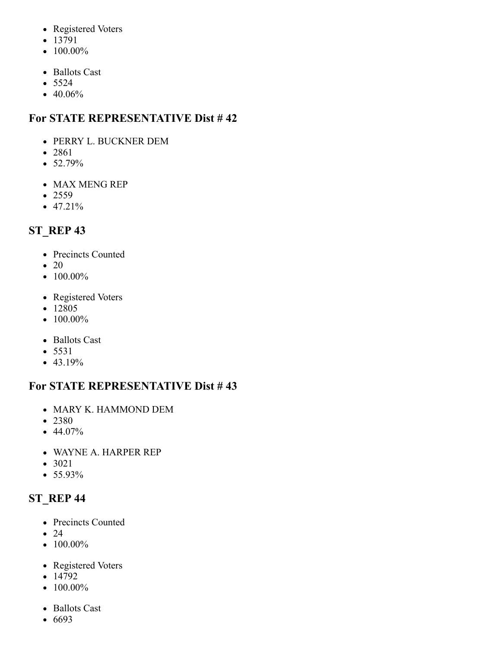- Registered Voters
- 13791
- $\bullet$  100.00%
- Ballots Cast
- $5524$
- 40.06%

- PERRY L. BUCKNER DEM
- 2861
- $52.79%$
- MAX MENG REP
- $2559$
- $47.21%$

# <span id="page-21-0"></span>**ST\_REP 43**

- Precincts Counted
- $\bullet$  20
- $\bullet$  100.00%
- Registered Voters
- 12805
- $\bullet$  100.00%
- Ballots Cast
- 5531
- $-43.19%$

# **For STATE REPRESENTATIVE Dist # 43**

- MARY K. HAMMOND DEM
- 2380
- $44.07\%$
- WAYNE A. HARPER REP
- 3021
- <span id="page-21-1"></span>55.93%

- Precincts Counted
- $\bullet$  24
- $\bullet$  100.00%
- Registered Voters
- $14792$
- $\bullet$  100.00%
- Ballots Cast
- 6693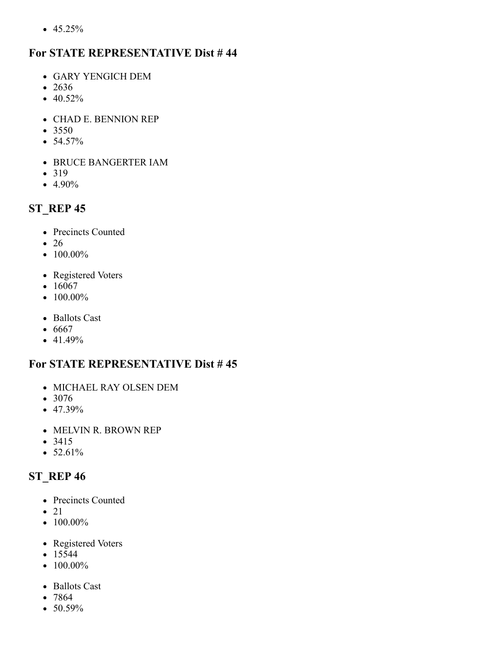$• 45.25%$ 

#### **For STATE REPRESENTATIVE Dist # 44**

- GARY YENGICH DEM
- 2636
- $40.52%$
- CHAD E. BENNION REP
- 3550
- $54.57%$
- BRUCE BANGERTER IAM
- 319
- $-4.90\%$

# <span id="page-22-0"></span>**ST\_REP 45**

- Precincts Counted
- 26
- $\bullet$  100.00%
- Registered Voters
- $16067$
- $\bullet$  100.00%
- Ballots Cast
- $6667$
- $-41.49%$

### **For STATE REPRESENTATIVE Dist # 45**

- MICHAEL RAY OLSEN DEM
- 3076
- $47.39\%$
- MELVIN R. BROWN REP
- 3415
- <span id="page-22-1"></span> $• 52.61%$

- Precincts Counted
- $\bullet$  21
- $\bullet$  100.00%
- Registered Voters
- $15544$
- $\bullet$  100.00%
- Ballots Cast
- 7864
- $50.59%$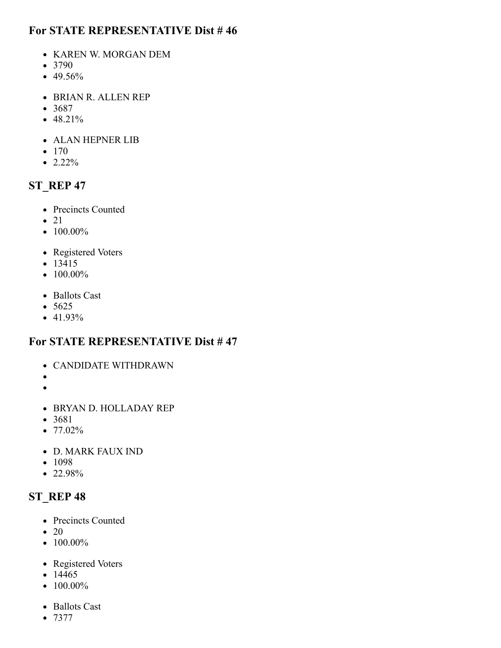- KAREN W. MORGAN DEM
- 3790
- 49.56%
- BRIAN R. ALLEN REP
- 3687
- $48.21%$
- ALAN HEPNER LIB
- $170$
- $\bullet$  2.22%

#### <span id="page-23-0"></span>**ST\_REP 47**

- Precincts Counted
- $\bullet$  21
- $100.00\%$
- Registered Voters
- $-13415$
- $\bullet$  100.00%
- Ballots Cast
- $5625$
- $41.93\%$

#### **For STATE REPRESENTATIVE Dist # 47**

- CANDIDATE WITHDRAWN
- $\bullet$
- $\bullet$
- BRYAN D. HOLLADAY REP
- 3681
- $77.02\%$
- D. MARK FAUX IND
- 1098
- <span id="page-23-1"></span>• 22.98%

- Precincts Counted
- $\bullet$  20
- $100.00\%$
- Registered Voters
- $14465$
- $\bullet$  100.00%
- Ballots Cast
- $7377$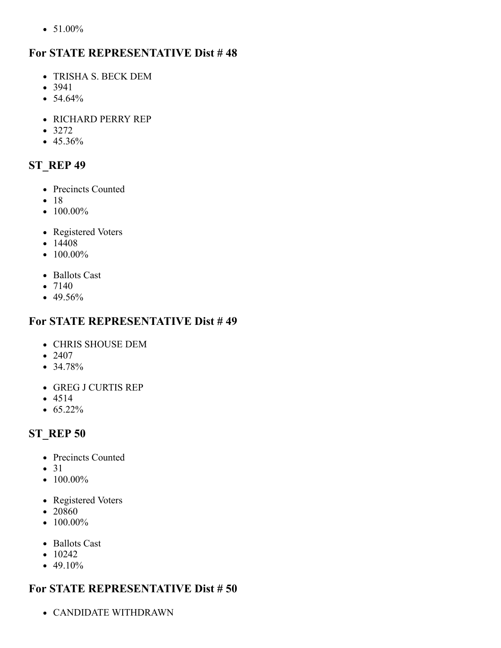$\bullet$  51.00%

#### **For STATE REPRESENTATIVE Dist # 48**

- TRISHA S. BECK DEM
- 3941
- $54.64%$
- RICHARD PERRY REP
- $3272$
- 45.36%

# <span id="page-24-0"></span>**ST\_REP 49**

- Precincts Counted
- $18$
- $\bullet$  100.00%
- Registered Voters
- $14408$
- $\bullet$  100.00%
- Ballots Cast
- $7140$
- 49.56%

#### **For STATE REPRESENTATIVE Dist # 49**

- CHRIS SHOUSE DEM
- 2407
- 34.78%
- GREG J CURTIS REP
- $4514$
- $65.22\%$

# <span id="page-24-1"></span>**ST\_REP 50**

- Precincts Counted
- 31
- $100.00\%$
- Registered Voters
- 20860
- $\bullet$  100.00%
- Ballots Cast
- $\bullet$  10242
- $\bullet$  49.10%

### **For STATE REPRESENTATIVE Dist # 50**

CANDIDATE WITHDRAWN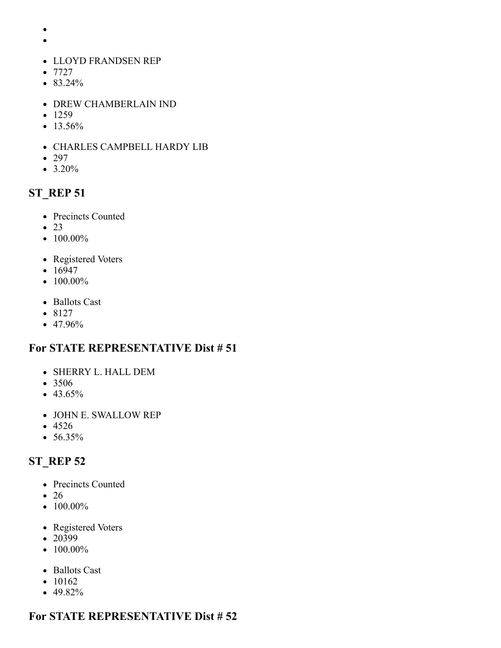- $\bullet$
- $\bullet$
- LLOYD FRANDSEN REP
- $7727$
- 83.24%
- DREW CHAMBERLAIN IND
- $-1259$
- $13.56%$
- CHARLES CAMPBELL HARDY LIB
- 297
- <span id="page-25-0"></span> $• 3.20\%$

- Precincts Counted
- $\bullet$  23
- $100.00\%$
- Registered Voters
- $16947$
- $100.00\%$
- Ballots Cast
- $•8127$
- 47.96%

#### **For STATE REPRESENTATIVE Dist # 51**

- SHERRY L. HALL DEM
- 3506
- $43.65\%$
- JOHN E. SWALLOW REP
- 4526
- 56.35%

# <span id="page-25-1"></span>**ST\_REP 52**

- Precincts Counted
- $\bullet$  26
- $\bullet$  100.00%
- Registered Voters
- 20399
- $\bullet$  100.00%
- Ballots Cast
- $\bullet$  10162
- $-49.82%$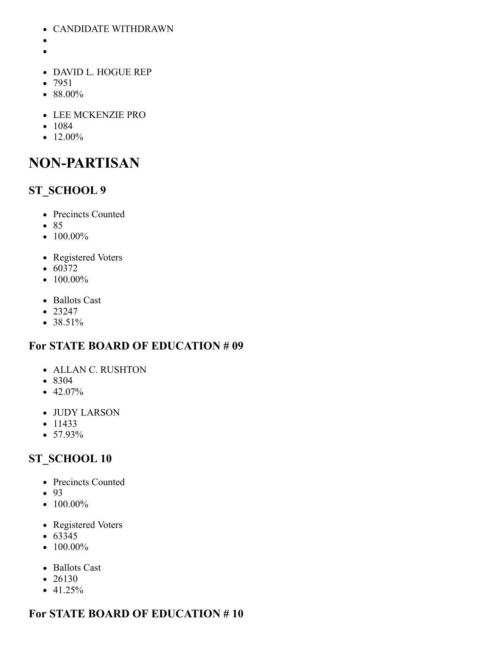- CANDIDATE WITHDRAWN
- 
- 
- DAVID L. HOGUE REP
- 7951
- 88.00%
- LEE MCKENZIE PRO
- 1084
- $\bullet$  12.00%

# **NON-PARTISAN**

### <span id="page-26-0"></span>**ST\_SCHOOL 9**

- Precincts Counted
- 85
- $\bullet$  100.00%
- Registered Voters
- $60372$
- $\bullet$  100.00%
- Ballots Cast
- $23247$
- $38.51\%$

#### **For STATE BOARD OF EDUCATION # 09**

- ALLAN C. RUSHTON
- 8304
- $-42.07\%$
- JUDY LARSON
- $11433$
- $57.93\%$

#### <span id="page-26-1"></span>**ST\_SCHOOL 10**

- Precincts Counted
- 93
- $\bullet$  100.00%
- Registered Voters
- $63345$
- $100.00\%$
- Ballots Cast
- $\bullet$  26130
- $-41.25%$

#### **For STATE BOARD OF EDUCATION # 10**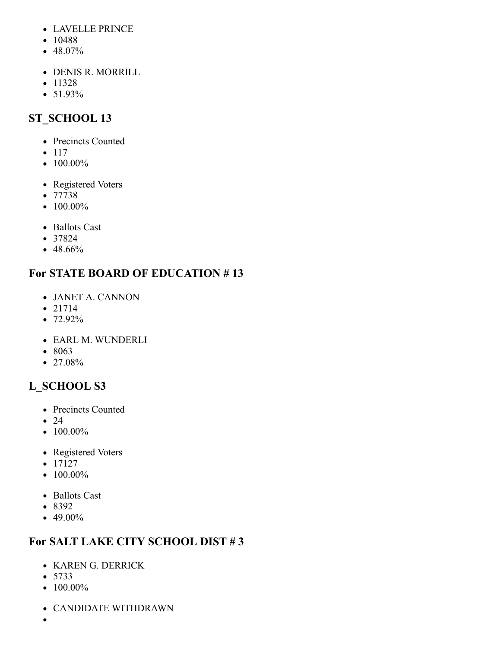- LAVELLE PRINCE
- 10488
- 48.07%
- DENIS R. MORRILL
- $11328$
- 51.93%

# <span id="page-27-0"></span>**ST\_SCHOOL 13**

- Precincts Counted
- $117$
- $\bullet$  100.00%
- Registered Voters
- 77738
- $\bullet$  100.00%
- Ballots Cast
- 37824
- 48.66%

# **For STATE BOARD OF EDUCATION # 13**

- JANET A. CANNON
- $21714$
- 72.92%
- EARL M. WUNDERLI
- 8063
- 27.08%

# <span id="page-27-1"></span>**L\_SCHOOL S3**

- Precincts Counted
- $24$
- $\bullet$  100.00%
- Registered Voters
- $-17127$
- $\bullet$  100.00%
- Ballots Cast
- 8392
- 49.00%

# **For SALT LAKE CITY SCHOOL DIST # 3**

- KAREN G. DERRICK
- 5733
- $100.00\%$
- CANDIDATE WITHDRAWN
- $\bullet$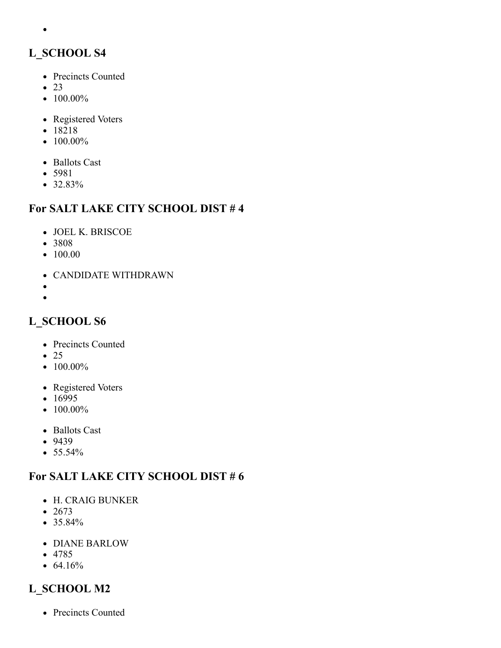# <span id="page-28-0"></span>**L\_SCHOOL S4**

- Precincts Counted
- $\bullet$  23

 $\bullet$ 

- $\bullet$  100.00%
- Registered Voters
- 18218
- $\bullet$  100.00%
- Ballots Cast
- 5981
- 32.83%

#### **For SALT LAKE CITY SCHOOL DIST # 4**

- JOEL K. BRISCOE
- 3808
- 100.00
- CANDIDATE WITHDRAWN
- $\bullet$
- $\bullet$

# <span id="page-28-1"></span>**L\_SCHOOL S6**

- Precincts Counted
- $\bullet$  25
- $\bullet$  100.00%
- Registered Voters
- $16995$
- $\bullet$  100.00%
- Ballots Cast
- 9439
- $55.54%$

### **For SALT LAKE CITY SCHOOL DIST # 6**

- H. CRAIG BUNKER
- $2673$
- 35.84%
- DIANE BARLOW
- 4785
- $64.16%$

# <span id="page-28-2"></span>**L\_SCHOOL M2**

• Precincts Counted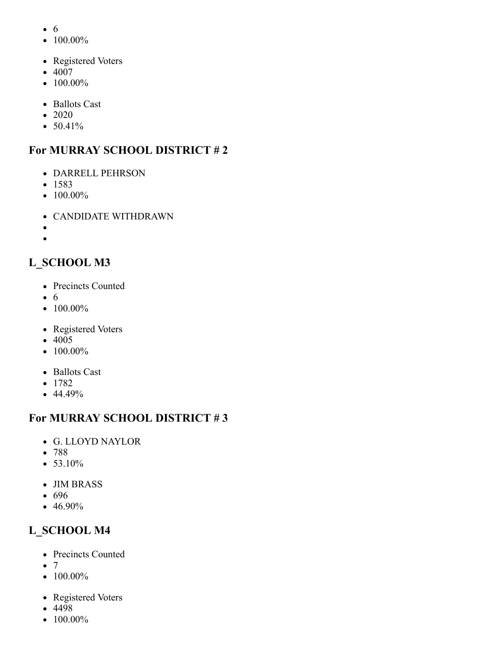- 6
- $\bullet$  100.00%
- Registered Voters
- 4007
- $\bullet$  100.00%
- Ballots Cast
- $\bullet$  2020
- $50.41%$

# **For MURRAY SCHOOL DISTRICT # 2**

- DARRELL PEHRSON
- $1583$
- $\bullet$  100.00%
- CANDIDATE WITHDRAWN
- $\bullet$
- $\bullet$

# <span id="page-29-0"></span>**L\_SCHOOL M3**

- Precincts Counted
- 6
- $\bullet$  100.00%
- Registered Voters
- 4005
- $\bullet$  100.00%
- Ballots Cast
- $1782$
- $-44.49%$

# **For MURRAY SCHOOL DISTRICT # 3**

- G. LLOYD NAYLOR
- 788
- $53.10%$
- JIM BRASS
- 696
- 46.90%

# <span id="page-29-1"></span>**L\_SCHOOL M4**

- Precincts Counted
- $\bullet$  7
- $\bullet$  100.00%
- Registered Voters
- $-4498$
- $\bullet$  100.00%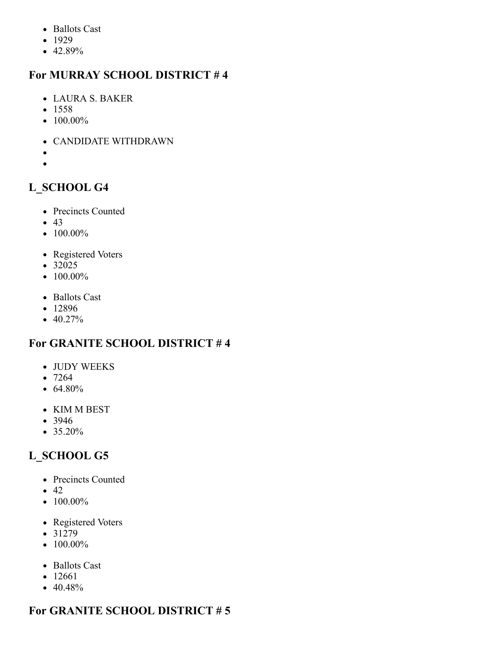- Ballots Cast
- $-1929$
- 42.89%

# **For MURRAY SCHOOL DISTRICT # 4**

- LAURA S. BAKER
- $1558$
- $100.00\%$
- CANDIDATE WITHDRAWN
- $\bullet$
- $\bullet$

# <span id="page-30-0"></span>**L\_SCHOOL G4**

- Precincts Counted
- $-43$
- $\bullet$  100.00%
- Registered Voters
- 32025
- $\bullet$  100.00%
- Ballots Cast
- 12896
- $-40.27%$

# **For GRANITE SCHOOL DISTRICT # 4**

- JUDY WEEKS
- 7264
- $64.80%$
- KIM M BEST
- 3946
- 35.20%

# <span id="page-30-1"></span>**L\_SCHOOL G5**

- Precincts Counted
- $\bullet$  42
- $\bullet$  100.00%
- Registered Voters
- $31279$
- $\bullet$  100.00%
- Ballots Cast
- 12661
- $40.48%$

# **For GRANITE SCHOOL DISTRICT # 5**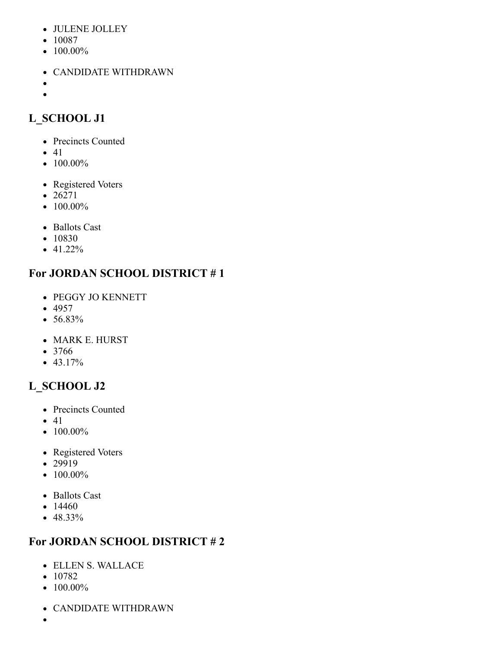- JULENE JOLLEY
- 10087
- $\bullet$  100.00%
- CANDIDATE WITHDRAWN
- $\bullet$  $\bullet$

# <span id="page-31-0"></span>**L\_SCHOOL J1**

- Precincts Counted
- $41$
- $\bullet$  100.00%
- Registered Voters
- 26271
- $100.00\%$
- Ballots Cast
- 10830
- $-41.22%$

# **For JORDAN SCHOOL DISTRICT # 1**

- PEGGY JO KENNETT
- $-4957$
- 56.83%
- MARK E. HURST
- 3766
- $-43.17%$

# <span id="page-31-1"></span>**L\_SCHOOL J2**

- Precincts Counted
- $41$
- $\bullet$  100.00%
- Registered Voters
- 29919
- $\bullet$  100.00%
- Ballots Cast
- $14460$
- 48.33%

# **For JORDAN SCHOOL DISTRICT # 2**

- ELLEN S. WALLACE
- $10782$
- $\bullet$  100.00%
- CANDIDATE WITHDRAWN
-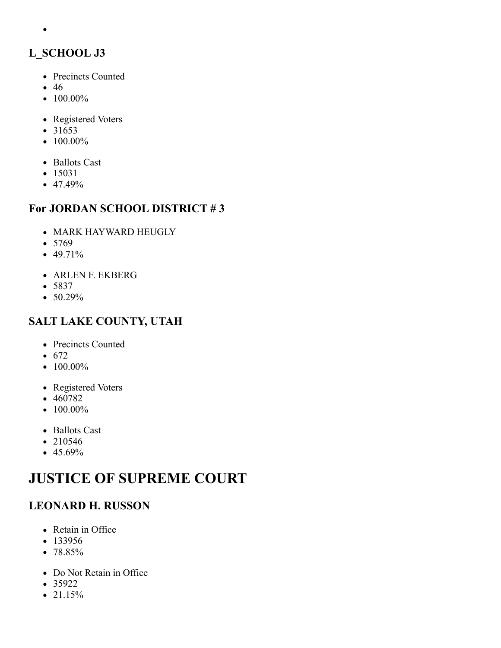# <span id="page-32-0"></span>**L\_SCHOOL J3**

- Precincts Counted
- 46

 $\bullet$ 

- $\bullet$  100.00%
- Registered Voters
- 31653
- $\bullet$  100.00%
- Ballots Cast
- $15031$
- $47.49%$

### **For JORDAN SCHOOL DISTRICT # 3**

- MARK HAYWARD HEUGLY
- 5769
- $-49.71%$
- ARLEN F. EKBERG
- 5837
- $50.29%$

### <span id="page-32-1"></span>**SALT LAKE COUNTY, UTAH**

- Precincts Counted
- $672$
- $\bullet$  100.00%
- Registered Voters
- 460782
- $\bullet$  100.00%
- Ballots Cast
- 210546
- $45.69%$

# **JUSTICE OF SUPREME COURT**

# **LEONARD H. RUSSON**

- Retain in Office
- 133956
- 78.85%
- Do Not Retain in Office
- $35922$
- 21.15%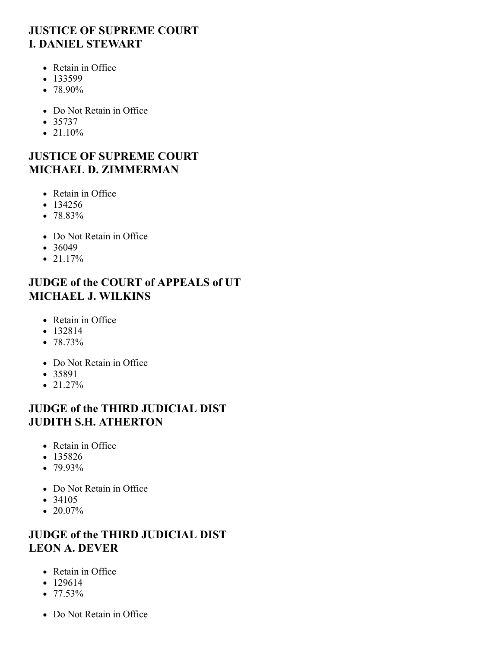### **JUSTICE OF SUPREME COURT I. DANIEL STEWART**

- Retain in Office
- $133599$
- 78.90%
- Do Not Retain in Office
- $35737$
- $21.10%$

#### **JUSTICE OF SUPREME COURT MICHAEL D. ZIMMERMAN**

- Retain in Office
- $134256$
- 78.83%
- Do Not Retain in Office
- $36049$
- $\bullet$  21.17%

### **JUDGE of the COURT of APPEALS of UT MICHAEL J. WILKINS**

- Retain in Office
- $132814$
- $78.73%$
- Do Not Retain in Office
- 35891
- $\bullet$  21.27%

# **JUDGE of the THIRD JUDICIAL DIST JUDITH S.H. ATHERTON**

- Retain in Office
- $135826$
- 79.93%
- Do Not Retain in Office
- 34105
- $\bullet$  20.07%

# **JUDGE of the THIRD JUDICIAL DIST LEON A. DEVER**

- Retain in Office
- 129614
- $77.53%$
- Do Not Retain in Office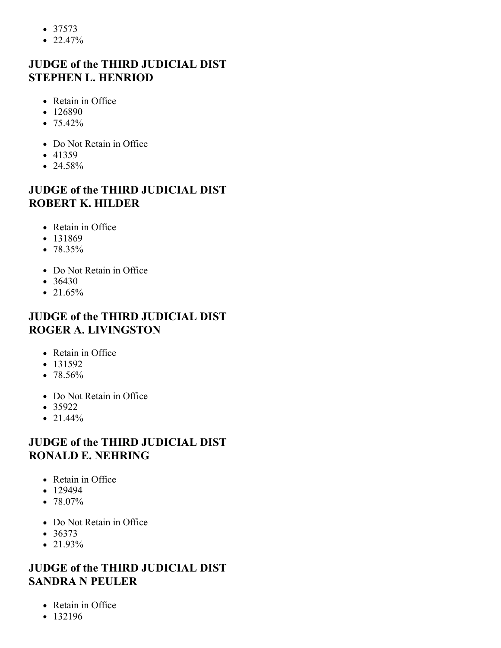- $37573$
- $22.47%$

# **JUDGE of the THIRD JUDICIAL DIST STEPHEN L. HENRIOD**

- Retain in Office
- $126890$
- $75.42\%$
- Do Not Retain in Office
- $-41359$
- $\bullet$  24.58%

# **JUDGE of the THIRD JUDICIAL DIST ROBERT K. HILDER**

- Retain in Office
- 131869
- $78.35\%$
- Do Not Retain in Office
- $36430$
- $21.65%$

# **JUDGE of the THIRD JUDICIAL DIST ROGER A. LIVINGSTON**

- Retain in Office
- $131592$
- $78.56%$
- Do Not Retain in Office
- $35922$
- $21.44%$

# **JUDGE of the THIRD JUDICIAL DIST RONALD E. NEHRING**

- Retain in Office
- $129494$
- $78.07\%$
- Do Not Retain in Office
- $36373$
- 21.93%

# **JUDGE of the THIRD JUDICIAL DIST SANDRA N PEULER**

- Retain in Office
- 132196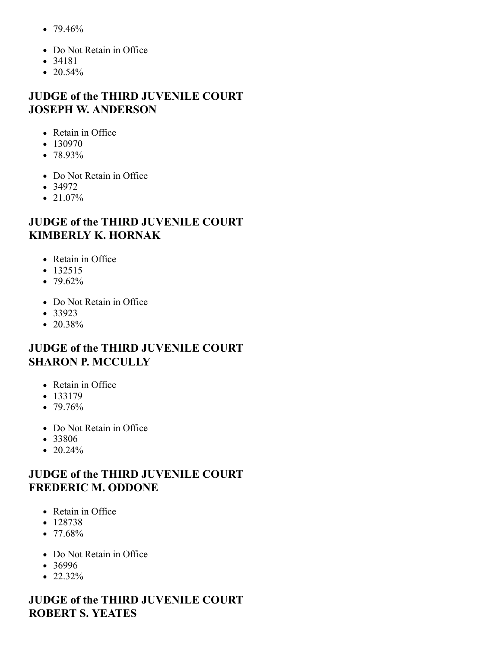- $79.46%$
- Do Not Retain in Office
- 34181
- 20.54%

### **JUDGE of the THIRD JUVENILE COURT JOSEPH W. ANDERSON**

- Retain in Office
- 130970
- $78.93\%$
- Do Not Retain in Office
- $34972$
- 21.07%

#### **JUDGE of the THIRD JUVENILE COURT KIMBERLY K. HORNAK**

- Retain in Office
- $132515$
- $\bullet$  79.62%
- Do Not Retain in Office
- $33923$
- $\bullet$  20.38%

#### **JUDGE of the THIRD JUVENILE COURT SHARON P. MCCULLY**

- Retain in Office
- $133179$
- $79.76%$
- Do Not Retain in Office
- 33806
- 20.24%

#### **JUDGE of the THIRD JUVENILE COURT FREDERIC M. ODDONE**

- Retain in Office
- $128738$
- $\bullet$  77.68%
- Do Not Retain in Office
- 36996
- $\bullet$  22.32%

### **JUDGE of the THIRD JUVENILE COURT ROBERT S. YEATES**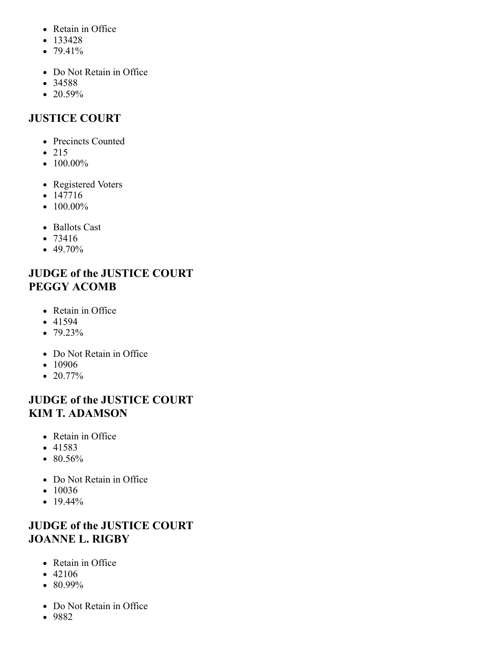- Retain in Office
- $133428$
- $79.41%$
- Do Not Retain in Office
- 34588
- $20.59%$

# <span id="page-36-0"></span>**JUSTICE COURT**

- Precincts Counted
- $215$
- $\bullet$  100.00%
- Registered Voters
- 147716
- $\bullet$  100.00%
- Ballots Cast
- 73416
- 49.70%

# **JUDGE of the JUSTICE COURT PEGGY ACOMB**

- Retain in Office
- $-41594$
- 79.23%
- Do Not Retain in Office
- 10906
- $\bullet$  20.77%

# **JUDGE of the JUSTICE COURT KIM T. ADAMSON**

- Retain in Office
- 41583
- 80.56%
- Do Not Retain in Office
- $10036$
- $19.44\%$

# **JUDGE of the JUSTICE COURT JOANNE L. RIGBY**

- Retain in Office
- 42106
- 80.99%
- Do Not Retain in Office
- 9882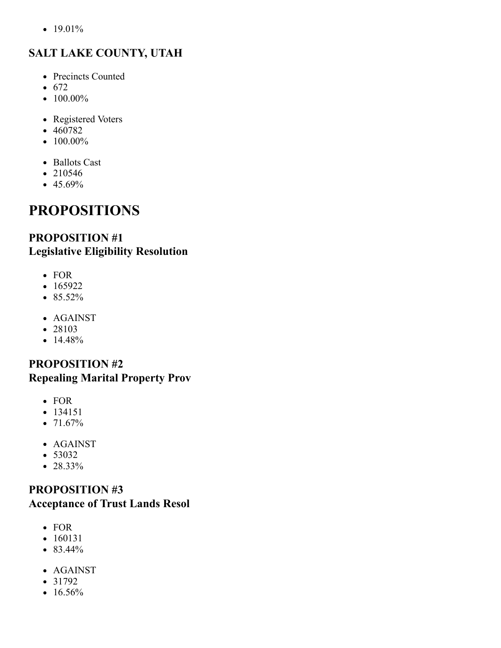•  $19.01%$ 

# <span id="page-37-0"></span>**SALT LAKE COUNTY, UTAH**

- Precincts Counted
- $672$
- $\bullet$  100.00%
- Registered Voters
- 460782
- $\bullet$  100.00%
- Ballots Cast
- 210546
- $45.69%$

# **PROPOSITIONS**

#### **PROPOSITION #1 Legislative Eligibility Resolution**

- FOR
- $165922$
- 85.52%
- AGAINST
- 28103
- 14.48%

#### **PROPOSITION #2 Repealing Marital Property Prov**

- FOR
- $-134151$
- $71.67%$
- AGAINST
- 53032
- 28.33%

#### **PROPOSITION #3 Acceptance of Trust Lands Resol**

- FOR
- 160131
- 83.44%
- AGAINST
- $31792$
- $16.56%$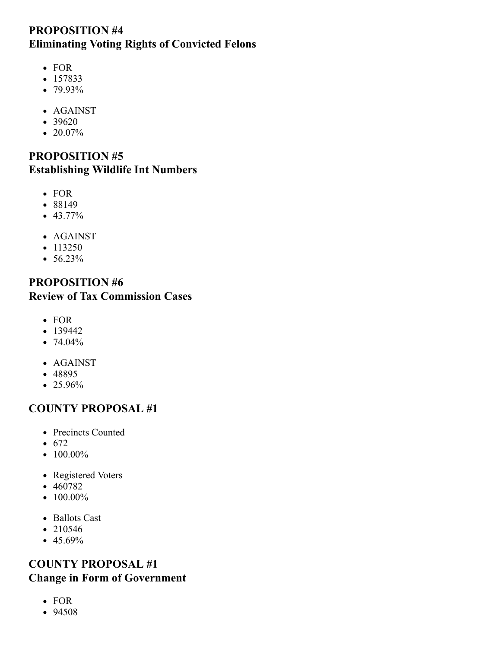#### **PROPOSITION #4 Eliminating Voting Rights of Convicted Felons**

- FOR
- 157833
- 79.93%
- AGAINST
- 39620
- $\bullet$  20.07%

#### **PROPOSITION #5 Establishing Wildlife Int Numbers**

- FOR
- 88149
- 43.77%
- AGAINST
- $113250$
- $56.23%$

#### **PROPOSITION #6 Review of Tax Commission Cases**

- FOR
- $139442$
- $74.04%$
- AGAINST
- 48895
- 25.96%

#### <span id="page-38-0"></span>**COUNTY PROPOSAL #1**

- Precincts Counted
- $672$
- $\bullet$  100.00%
- Registered Voters
- 460782
- $\bullet$  100.00%
- Ballots Cast
- $210546$
- $-45.69%$

#### **COUNTY PROPOSAL #1 Change in Form of Government**

- FOR
- 94508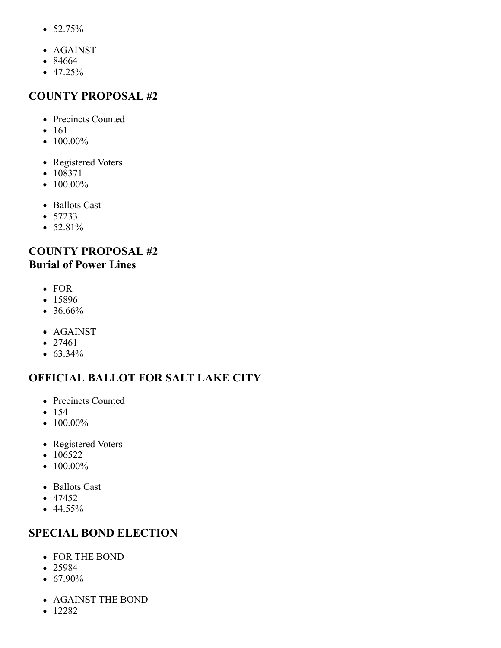- $52.75%$
- AGAINST
- 84664
- $47.25%$

#### <span id="page-39-0"></span>**COUNTY PROPOSAL #2**

- Precincts Counted
- 161
- $\bullet$  100.00%
- Registered Voters
- 108371
- $100.00\%$
- Ballots Cast
- 57233
- $52.81%$

### **COUNTY PROPOSAL #2 Burial of Power Lines**

- FOR
- 15896
- 36.66%
- AGAINST
- $27461$
- 63.34%

### <span id="page-39-1"></span>**OFFICIAL BALLOT FOR SALT LAKE CITY**

- Precincts Counted
- $154$
- $100.00\%$
- Registered Voters
- $-106522$
- $\bullet$  100.00%
- Ballots Cast
- $47452$
- $44.55\%$

### **SPECIAL BOND ELECTION**

- FOR THE BOND
- 25984
- $67.90\%$
- AGAINST THE BOND
- $12282$